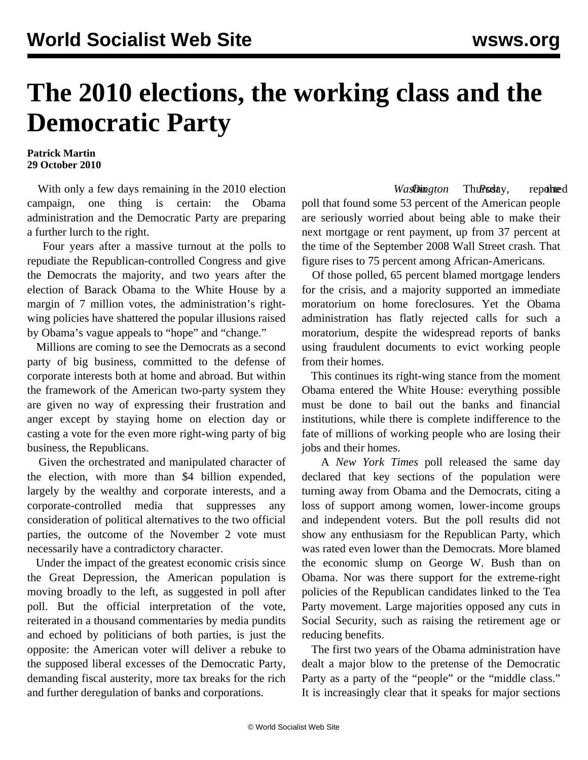## **The 2010 elections, the working class and the Democratic Party**

## **Patrick Martin 29 October 2010**

 With only a few days remaining in the 2010 election campaign, one thing is certain: the Obama administration and the Democratic Party are preparing a further lurch to the right.

 Four years after a massive turnout at the polls to repudiate the Republican-controlled Congress and give the Democrats the majority, and two years after the election of Barack Obama to the White House by a margin of 7 million votes, the administration's rightwing policies have shattered the popular illusions raised by Obama's vague appeals to "hope" and "change."

 Millions are coming to see the Democrats as a second party of big business, committed to the defense of corporate interests both at home and abroad. But within the framework of the American two-party system they are given no way of expressing their frustration and anger except by staying home on election day or casting a vote for the even more right-wing party of big business, the Republicans.

 Given the orchestrated and manipulated character of the election, with more than \$4 billion expended, largely by the wealthy and corporate interests, and a corporate-controlled media that suppresses any consideration of political alternatives to the two official parties, the outcome of the November 2 vote must necessarily have a contradictory character.

 Under the impact of the greatest economic crisis since the Great Depression, the American population is moving broadly to the left, as suggested in poll after poll. But the official interpretation of the vote, reiterated in a thousand commentaries by media pundits and echoed by politicians of both parties, is just the opposite: the American voter will deliver a rebuke to the supposed liberal excesses of the Democratic Party, demanding fiscal austerity, more tax breaks for the rich and further deregulation of banks and corporations.

*WasDington* Thurasday, reported poll that found some 53 percent of the American people are seriously worried about being able to make their next mortgage or rent payment, up from 37 percent at the time of the September 2008 Wall Street crash. That figure rises to 75 percent among African-Americans.

 Of those polled, 65 percent blamed mortgage lenders for the crisis, and a majority supported an immediate moratorium on home foreclosures. Yet the Obama administration has flatly rejected calls for such a moratorium, despite the widespread reports of banks using fraudulent documents to evict working people from their homes.

 This continues its right-wing stance from the moment Obama entered the White House: everything possible must be done to bail out the banks and financial institutions, while there is complete indifference to the fate of millions of working people who are losing their jobs and their homes.

 A *New York Times* poll released the same day declared that key sections of the population were turning away from Obama and the Democrats, citing a loss of support among women, lower-income groups and independent voters. But the poll results did not show any enthusiasm for the Republican Party, which was rated even lower than the Democrats. More blamed the economic slump on George W. Bush than on Obama. Nor was there support for the extreme-right policies of the Republican candidates linked to the Tea Party movement. Large majorities opposed any cuts in Social Security, such as raising the retirement age or reducing benefits.

 The first two years of the Obama administration have dealt a major blow to the pretense of the Democratic Party as a party of the "people" or the "middle class." It is increasingly clear that it speaks for major sections